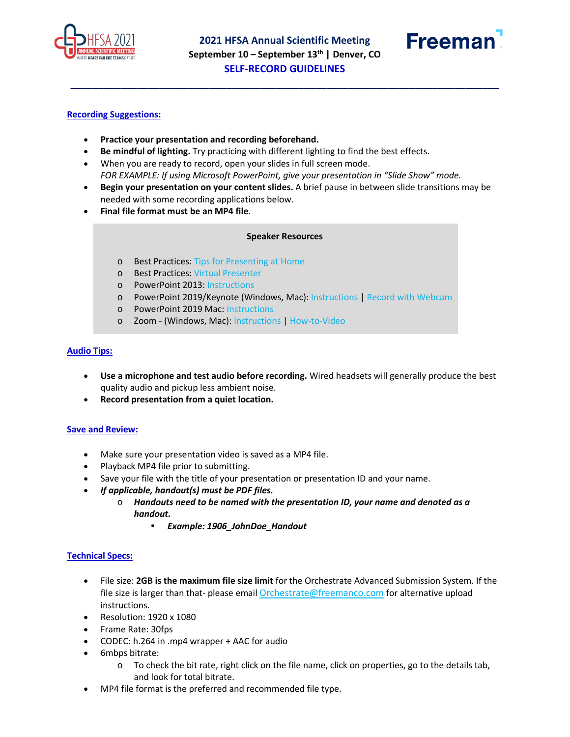

**\_\_\_\_\_\_\_\_\_\_\_\_\_\_\_\_\_\_\_\_\_\_\_\_\_\_\_\_\_\_\_\_\_\_\_\_\_\_\_\_\_\_\_\_\_\_\_\_\_\_\_\_\_\_\_\_\_\_\_\_\_\_\_\_\_\_\_\_\_\_\_\_\_\_\_\_\_**



### **Recording Suggestions:**

- **Practice your presentation and recording beforehand.**
- **Be mindful of lighting.** Try practicing with different lighting to find the best effects.
- When you are ready to record, open your slides in full screen mode. *FOR EXAMPLE: If using Microsoft PowerPoint, give your presentation in "Slide Show" mode.*
- **Begin your presentation on your content slides.** A brief pause in between slide transitions may be needed with some recording applications below.
- **Final file format must be an MP4 file**.

#### **Speaker Resources**

- o Best Practices[: Tips for Presenting at Home](https://resources.onlineeventpro.events/orchestrate/Speaker%20Resources/Best%20Practices%20-%20Tips%20for%20presenting%20at%20home.pdf)
- o Best Practices[: Virtual Presenter](https://resources.onlineeventpro.events/orchestrate/Speaker%20Resources/Best%20Practices%20-%20Virtual%20Presenter.pdf)
- o PowerPoint 2013: [Instructions](https://resources.onlineeventpro.events/orchestrate/Speaker%20Resources/PowerPoint%202013%20-%20How%20to%20Record%20Your%20Presentation.pdf)
- o PowerPoint 2019/Keynote (Windows, Mac): [Instructions](https://resources.onlineeventpro.events/orchestrate/Speaker%20Resources/PowerPoint%202019%20-%20Keynote%20-%20How%20to%20Record%20Your%20Presentation.pdf) | [Record with Webcam](https://resources.onlineeventpro.events/orchestrate/Speaker%20Resources/PowerPoint%202019%20-%20Keynote%20-%20How%20to%20Record%20Your%20Presentation%20with%20Webcam.pdf)
- o PowerPoint 2019 Mac[: Instructions](https://resources.onlineeventpro.events/orchestrate/Speaker%20Resources/PowerPoint%202019%20-%20Mac%20recording%20instructitons.pdf)
- o Zoom (Windows, Mac): [Instructions](https://resources.onlineeventpro.events/orchestrate/Speaker%20Resources/Zoom%20-%20How%20to%20record%20on%20your%20computer.pdf) | [How-to-Video](https://resources.onlineeventpro.events/orchestrate/Speaker%20Resources/Zoom%20-%20How%20to%20record%20on%20your%20computer.mp4)

#### **Audio Tips:**

- **Use a microphone and test audio before recording.** Wired headsets will generally produce the best quality audio and pickup less ambient noise.
- **Record presentation from a quiet location.**

#### **Save and Review:**

- Make sure your presentation video is saved as a MP4 file.
- Playback MP4 file prior to submitting.
- Save your file with the title of your presentation or presentation ID and your name.
- *If applicable, handout(s) must be PDF files.*
	- o *Handouts need to be named with the presentation ID, your name and denoted as a handout.*
		- *Example: 1906\_JohnDoe\_Handout*

#### **Technical Specs:**

- File size: **2GB is the maximum file size limit** for the Orchestrate Advanced Submission System. If the file size is larger than that- please email [Orchestrate@freemanco.com](mailto:Orchestrate@freemanco.com) for alternative upload instructions.
- Resolution: 1920 x 1080
- Frame Rate: 30fps
- CODEC: h.264 in .mp4 wrapper + AAC for audio
- 6mbps bitrate:
	- o To check the bit rate, right click on the file name, click on properties, go to the details tab, and look for total bitrate.
- MP4 file format is the preferred and recommended file type.